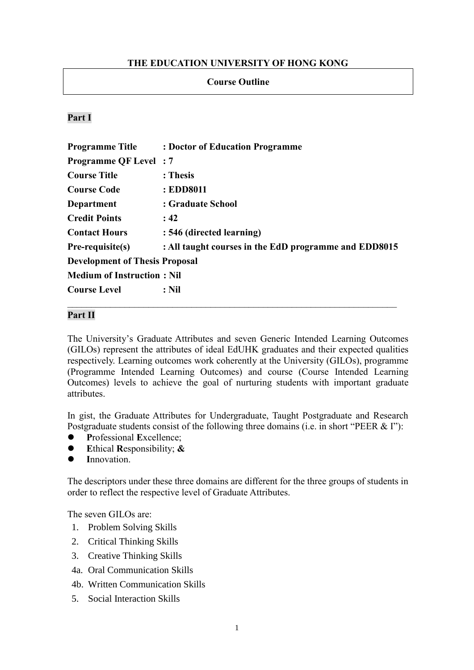### **THE EDUCATION UNIVERSITY OF HONG KONG**

#### **Course Outline**

#### **Part I**

| <b>Programme Title</b>                | : Doctor of Education Programme                       |
|---------------------------------------|-------------------------------------------------------|
| <b>Programme QF Level: 7</b>          |                                                       |
| <b>Course Title</b>                   | : Thesis                                              |
| <b>Course Code</b>                    | : EDD8011                                             |
| Department                            | : Graduate School                                     |
| <b>Credit Points</b>                  | : 42                                                  |
| <b>Contact Hours</b>                  | : 546 (directed learning)                             |
| Pre-requisite(s)                      | : All taught courses in the EdD programme and EDD8015 |
| <b>Development of Thesis Proposal</b> |                                                       |
| <b>Medium of Instruction: Nil</b>     |                                                       |
| <b>Course Level</b>                   | $:$ Nil                                               |

#### **Part II**

The University's Graduate Attributes and seven Generic Intended Learning Outcomes (GILOs) represent the attributes of ideal EdUHK graduates and their expected qualities respectively. Learning outcomes work coherently at the University (GILOs), programme (Programme Intended Learning Outcomes) and course (Course Intended Learning Outcomes) levels to achieve the goal of nurturing students with important graduate attributes.

In gist, the Graduate Attributes for Undergraduate, Taught Postgraduate and Research Postgraduate students consist of the following three domains (i.e. in short "PEER & I"):

- ⚫ **P**rofessional **E**xcellence;
- ⚫ **E**thical **R**esponsibility; **&**
- ⚫ **I**nnovation.

The descriptors under these three domains are different for the three groups of students in order to reflect the respective level of Graduate Attributes.

The seven GILOs are:

- 1. Problem Solving Skills
- 2. Critical Thinking Skills
- 3. Creative Thinking Skills
- 4a. Oral Communication Skills
- 4b. Written Communication Skills
- 5. Social Interaction Skills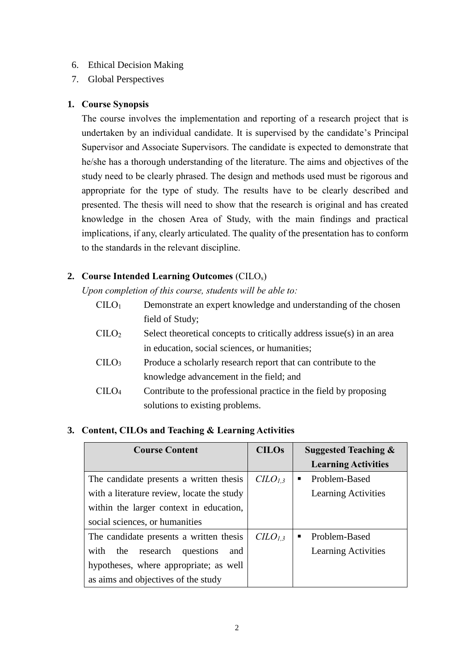## 6. Ethical Decision Making

7. Global Perspectives

#### **1. Course Synopsis**

The course involves the implementation and reporting of a research project that is undertaken by an individual candidate. It is supervised by the candidate's Principal Supervisor and Associate Supervisors. The candidate is expected to demonstrate that he/she has a thorough understanding of the literature. The aims and objectives of the study need to be clearly phrased. The design and methods used must be rigorous and appropriate for the type of study. The results have to be clearly described and presented. The thesis will need to show that the research is original and has created knowledge in the chosen Area of Study, with the main findings and practical implications, if any, clearly articulated. The quality of the presentation has to conform to the standards in the relevant discipline.

# **2. Course Intended Learning Outcomes** (CILOs)

*Upon completion of this course, students will be able to:*

- $CILO<sub>1</sub>$  Demonstrate an expert knowledge and understanding of the chosen field of Study;
- $\text{CILO}_2$  Select theoretical concepts to critically address issue(s) in an area in education, social sciences, or humanities;
- CILO<sup>3</sup> Produce a scholarly research report that can contribute to the knowledge advancement in the field; and
- CILO<sup>4</sup> Contribute to the professional practice in the field by proposing solutions to existing problems.

# **3. Content, CILOs and Teaching & Learning Activities**

| <b>Course Content</b>                       | <b>CILOs</b>                    | Suggested Teaching $\&$    |
|---------------------------------------------|---------------------------------|----------------------------|
|                                             |                                 | <b>Learning Activities</b> |
| The candidate presents a written thesis     | $CLO_{1,3}$                     | Problem-Based              |
| with a literature review, locate the study  |                                 | <b>Learning Activities</b> |
| within the larger context in education,     |                                 |                            |
| social sciences, or humanities              |                                 |                            |
| The candidate presents a written thesis     | C <sub>L</sub> O <sub>L,3</sub> | Problem-Based              |
| with<br>research<br>the<br>questions<br>and |                                 | Learning Activities        |
| hypotheses, where appropriate; as well      |                                 |                            |
| as aims and objectives of the study         |                                 |                            |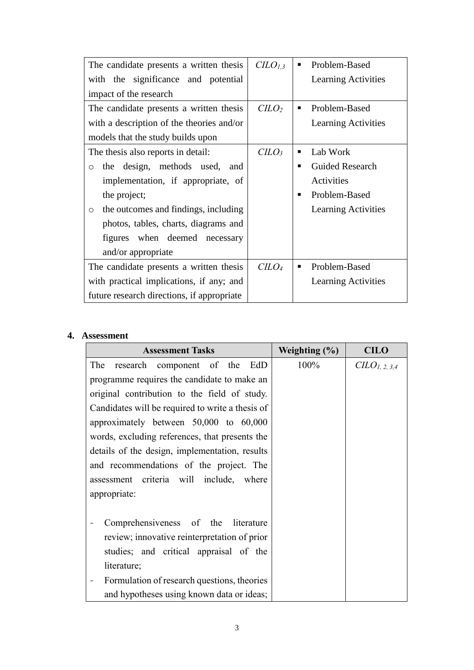| The candidate presents a written thesis         | $CLO_{1,3}$                 |   | Problem-Based          |
|-------------------------------------------------|-----------------------------|---|------------------------|
| with the significance and potential             |                             |   | Learning Activities    |
| impact of the research                          |                             |   |                        |
| The candidate presents a written thesis         | C <sub>LO</sub>             |   | Problem-Based          |
| with a description of the theories and/or       |                             |   | Learning Activities    |
| models that the study builds upon               |                             |   |                        |
| The thesis also reports in detail:              | C <sub>LO<sub>3</sub></sub> |   | Lab Work               |
| the design, methods used,<br>and<br>$\circ$     |                             | ٠ | <b>Guided Research</b> |
| implementation, if appropriate, of              |                             |   | Activities             |
| the project;                                    |                             | ٠ | Problem-Based          |
| the outcomes and findings, including<br>$\circ$ |                             |   | Learning Activities    |
| photos, tables, charts, diagrams and            |                             |   |                        |
| figures when deemed necessary                   |                             |   |                        |
| and/or appropriate                              |                             |   |                        |
| The candidate presents a written thesis         | C <sub>LO<sub>4</sub></sub> |   | Problem-Based          |
| with practical implications, if any; and        |                             |   | Learning Activities    |
| future research directions, if appropriate      |                             |   |                        |

# **4. Assessment**

| <b>Assessment Tasks</b>                          | Weighting $(\% )$ | <b>CILO</b>                  |
|--------------------------------------------------|-------------------|------------------------------|
| The<br>research component of the EdD             | 100%              | $C\mathbb{I}LO_{I, 2, 3, 4}$ |
| programme requires the candidate to make an      |                   |                              |
| original contribution to the field of study.     |                   |                              |
| Candidates will be required to write a thesis of |                   |                              |
| approximately between 50,000 to 60,000           |                   |                              |
| words, excluding references, that presents the   |                   |                              |
| details of the design, implementation, results   |                   |                              |
| and recommendations of the project. The          |                   |                              |
| assessment criteria will include, where          |                   |                              |
| appropriate:                                     |                   |                              |
|                                                  |                   |                              |
| Comprehensiveness of the literature              |                   |                              |
| review; innovative reinterpretation of prior     |                   |                              |
| studies; and critical appraisal of the           |                   |                              |
| literature;                                      |                   |                              |
| Formulation of research questions, theories      |                   |                              |
| and hypotheses using known data or ideas;        |                   |                              |